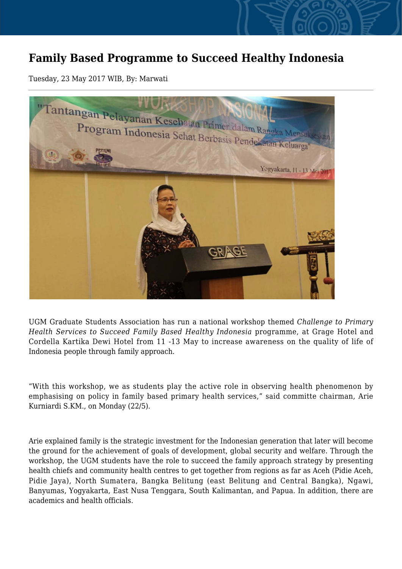## **Family Based Programme to Succeed Healthy Indonesia**

Tuesday, 23 May 2017 WIB, By: Marwati



UGM Graduate Students Association has run a national workshop themed *Challenge to Primary Health Services to Succeed Family Based Healthy Indonesia* programme, at Grage Hotel and Cordella Kartika Dewi Hotel from 11 -13 May to increase awareness on the quality of life of Indonesia people through family approach.

"With this workshop, we as students play the active role in observing health phenomenon by emphasising on policy in family based primary health services," said committe chairman, Arie Kurniardi S.KM., on Monday (22/5).

Arie explained family is the strategic investment for the Indonesian generation that later will become the ground for the achievement of goals of development, global security and welfare. Through the workshop, the UGM students have the role to succeed the family approach strategy by presenting health chiefs and community health centres to get together from regions as far as Aceh (Pidie Aceh, Pidie Jaya), North Sumatera, Bangka Belitung (east Belitung and Central Bangka), Ngawi, Banyumas, Yogyakarta, East Nusa Tenggara, South Kalimantan, and Papua. In addition, there are academics and health officials.